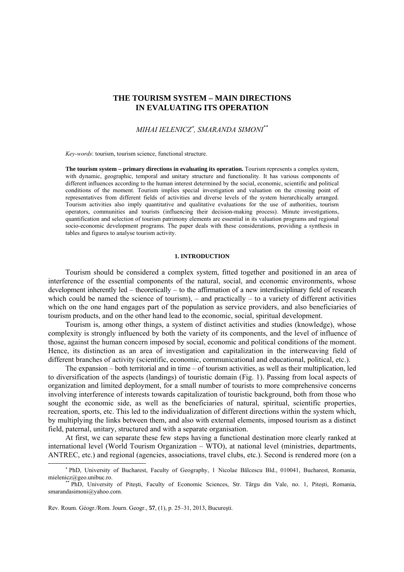# **THE TOURISM SYSTEM – MAIN DIRECTIONS IN EVALUATING ITS OPERATION**

*MIHAI IELENICZ*<sup>∗</sup> *, SMARANDA SIMONI\*\**

*Key-words*: tourism, tourism science, functional structure.

**The tourism system – primary directions in evaluating its operation.** Tourism represents a complex system, with dynamic, geographic, temporal and unitary structure and functionality. It has various components of different influences according to the human interest determined by the social, economic, scientific and political conditions of the moment. Tourism implies special investigation and valuation on the crossing point of representatives from different fields of activities and diverse levels of the system hierarchically arranged. Tourism activities also imply quantitative and qualitative evaluations for the use of authorities, tourism operators, communities and tourists (influencing their decision-making process). Minute investigations, quantification and selection of tourism patrimony elements are essential in its valuation programs and regional socio-economic development programs. The paper deals with these considerations, providing a synthesis in tables and figures to analyse tourism activity.

## **1. INTRODUCTION**

Tourism should be considered a complex system, fitted together and positioned in an area of interference of the essential components of the natural, social, and economic environments, whose development inherently led – theoretically – to the affirmation of a new interdisciplinary field of research which could be named the science of tourism), – and practically – to a variety of different activities which on the one hand engages part of the population as service providers, and also beneficiaries of tourism products, and on the other hand lead to the economic, social, spiritual development.

Tourism is, among other things, a system of distinct activities and studies (knowledge), whose complexity is strongly influenced by both the variety of its components, and the level of influence of those, against the human concern imposed by social, economic and political conditions of the moment. Hence, its distinction as an area of investigation and capitalization in the interweaving field of different branches of activity (scientific, economic, communicational and educational, political, etc.).

The expansion – both territorial and in time – of tourism activities, as well as their multiplication, led to diversification of the aspects (landings) of touristic domain (Fig. 1). Passing from local aspects of organization and limited deployment, for a small number of tourists to more comprehensive concerns involving interference of interests towards capitalization of touristic background, both from those who sought the economic side, as well as the beneficiaries of natural, spiritual, scientific properties, recreation, sports, etc. This led to the individualization of different directions within the system which, by multiplying the links between them, and also with external elements, imposed tourism as a distinct field, paternal, unitary, structured and with a separate organisation.

At first, we can separate these few steps having a functional destination more clearly ranked at international level (World Tourism Organization – WTO), at national level (ministries, departments, ANTREC, etc.) and regional (agencies, associations, travel clubs, etc.). Second is rendered more (on a

Rev. Roum. Géogr./Rom. Journ. Geogr., **57**, (1), p. 25–31, 2013, Bucureşti.

 $\overline{a}$ 

<sup>∗</sup> PhD, University of Bucharest, Faculty of Geography, 1 Nicolae Bălcescu Bld., 010041, Bucharest, Romania, mielenicz@geo.unibuc.ro.<br>\*\* PhD, University of Pitesti, Faculty of Economic Sciences, Str. Târgu din Vale, no. 1, Pitesti, Romania,

smarandasimoni@yahoo.com.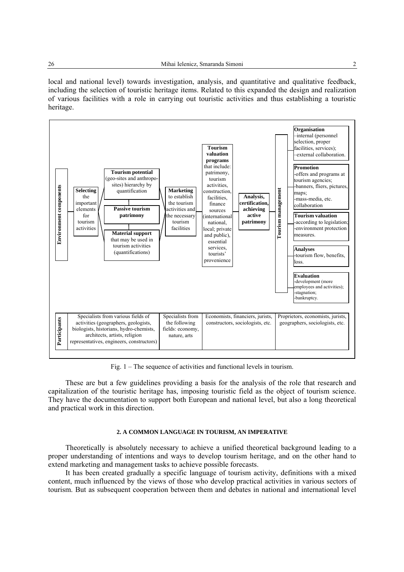local and national level) towards investigation, analysis, and quantitative and qualitative feedback, including the selection of touristic heritage items. Related to this expanded the design and realization of various facilities with a role in carrying out touristic activities and thus establishing a touristic heritage.



Fig. 1 – The sequence of activities and functional levels in tourism.

These are but a few guidelines providing a basis for the analysis of the role that research and capitalization of the touristic heritage has, imposing touristic field as the object of tourism science. They have the documentation to support both European and national level, but also a long theoretical and practical work in this direction.

#### **2. A COMMON LANGUAGE IN TOURISM, AN IMPERATIVE**

Theoretically is absolutely necessary to achieve a unified theoretical background leading to a proper understanding of intentions and ways to develop tourism heritage, and on the other hand to extend marketing and management tasks to achieve possible forecasts.

It has been created gradually a specific language of tourism activity, definitions with a mixed content, much influenced by the views of those who develop practical activities in various sectors of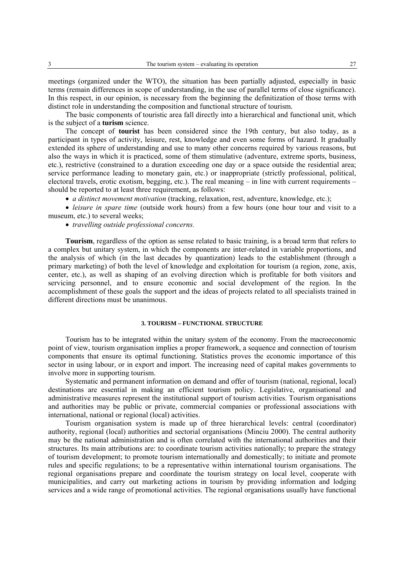meetings (organized under the WTO), the situation has been partially adjusted, especially in basic terms (remain differences in scope of understanding, in the use of parallel terms of close significance). In this respect, in our opinion, is necessary from the beginning the definitization of those terms with distinct role in understanding the composition and functional structure of tourism.

The basic components of touristic area fall directly into a hierarchical and functional unit, which is the subject of a **turism** science.

The concept of **tourist** has been considered since the 19th century, but also today, as a participant in types of activity, leisure, rest, knowledge and even some forms of hazard. It gradually extended its sphere of understanding and use to many other concerns required by various reasons, but also the ways in which it is practiced, some of them stimulative (adventure, extreme sports, business, etc.), restrictive (constrained to a duration exceeding one day or a space outside the residential area; service performance leading to monetary gain, etc.) or inappropriate (strictly professional, political, electoral travels, erotic exotism, begging, etc.). The real meaning – in line with current requirements – should be reported to at least three requirement, as follows:

• *a distinct movement motivation* (tracking, relaxation, rest, adventure, knowledge, etc.);

• *leisure in spare time* (outside work hours) from a few hours (one hour tour and visit to a museum, etc.) to several weeks;

• *travelling outside professional concerns.* 

**Tourism**, regardless of the option as sense related to basic training, is a broad term that refers to a complex but unitary system, in which the components are inter-related in variable proportions, and the analysis of which (in the last decades by quantization) leads to the establishment (through a primary marketing) of both the level of knowledge and exploitation for tourism (a region, zone, axis, center, etc.), as well as shaping of an evolving direction which is profitable for both visitors and servicing personnel, and to ensure economic and social development of the region. In the accomplishment of these goals the support and the ideas of projects related to all specialists trained in different directions must be unanimous.

## **3. TOURISM – FUNCTIONAL STRUCTURE**

Tourism has to be integrated within the unitary system of the economy. From the macroeconomic point of view, tourism organisation implies a proper framework, a sequence and connection of tourism components that ensure its optimal functioning. Statistics proves the economic importance of this sector in using labour, or in export and import. The increasing need of capital makes governments to involve more in supporting tourism.

Systematic and permanent information on demand and offer of tourism (national, regional, local) destinations are essential in making an efficient tourism policy. Legislative, organisational and administrative measures represent the institutional support of tourism activities. Tourism organisations and authorities may be public or private, commercial companies or professional associations with international, national or regional (local) activities.

Tourism organisation system is made up of three hierarchical levels: central (coordinator) authority, regional (local) authorities and sectorial organisations (Minciu 2000). The central authority may be the national administration and is often correlated with the international authorities and their structures. Its main attributions are: to coordinate tourism activities nationally; to prepare the strategy of tourism development; to promote tourism internationally and domestically; to initiate and promote rules and specific regulations; to be a representative within international tourism organisations. The regional organisations prepare and coordinate the tourism strategy on local level, cooperate with municipalities, and carry out marketing actions in tourism by providing information and lodging services and a wide range of promotional activities. The regional organisations usually have functional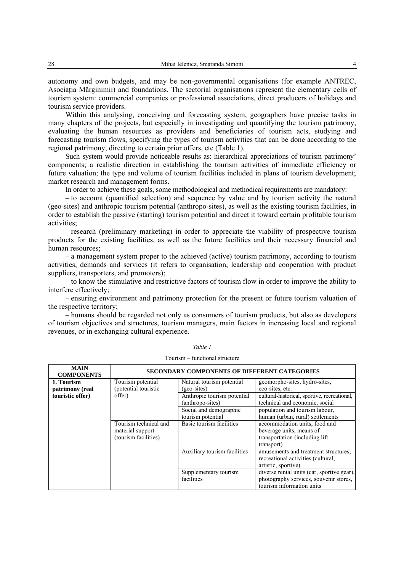autonomy and own budgets, and may be non-governmental organisations (for example ANTREC, Asociatia Mărginimii) and foundations. The sectorial organisations represent the elementary cells of tourism system: commercial companies or professional associations, direct producers of holidays and tourism service providers.

Within this analysing, conceiving and forecasting system, geographers have precise tasks in many chapters of the projects, but especially in investigating and quantifying the tourism patrimony, evaluating the human resources as providers and beneficiaries of tourism acts, studying and forecasting tourism flows, specifying the types of tourism activities that can be done according to the regional patrimony, directing to certain prior offers, etc (Table 1).

Such system would provide noticeable results as: hierarchical appreciations of tourism patrimony' components; a realistic direction in establishing the tourism activities of immediate efficiency or future valuation; the type and volume of tourism facilities included in plans of tourism development; market research and management forms.

In order to achieve these goals, some methodological and methodical requirements are mandatory:

– to account (quantified selection) and sequence by value and by tourism activity the natural (geo-sites) and anthropic tourism potential (anthropo-sites), as well as the existing tourism facilities, in order to establish the passive (starting) tourism potential and direct it toward certain profitable tourism activities;

– research (preliminary marketing) in order to appreciate the viability of prospective tourism products for the existing facilities, as well as the future facilities and their necessary financial and human resources;

– a management system proper to the achieved (active) tourism patrimony, according to tourism activities, demands and services (it refers to organisation, leadership and cooperation with product suppliers, transporters, and promoters):

– to know the stimulative and restrictive factors of tourism flow in order to improve the ability to interfere effectively;

– ensuring environment and patrimony protection for the present or future tourism valuation of the respective territory;

– humans should be regarded not only as consumers of tourism products, but also as developers of tourism objectives and structures, tourism managers, main factors in increasing local and regional revenues, or in exchanging cultural experience.

| <b>MAIN</b><br><b>COMPONENTS</b> | <b>SECONDARY COMPONENTS OF DIFFERENT CATEGORIES</b>               |                                                 |                                                                                                                   |  |
|----------------------------------|-------------------------------------------------------------------|-------------------------------------------------|-------------------------------------------------------------------------------------------------------------------|--|
| 1. Tourism<br>patrimony (real    | Tourism potential<br>(potential touristic                         | Natural tourism potential<br>(geo-sites)        | geomorpho-sites, hydro-sites,<br>eco-sites, etc.                                                                  |  |
| touristic offer)                 | offer)                                                            | Anthropic tourism potential<br>(anthropo-sites) | cultural-historical, sportive, recreational,<br>technical and economic, social                                    |  |
|                                  |                                                                   | Social and demographic<br>tourism potential     | population and tourism labour,<br>human (urban, rural) settlements                                                |  |
|                                  | Tourism technical and<br>material support<br>(tourism facilities) | Basic tourism facilities                        | accommodation units, food and<br>beverage units, means of<br>transportation (including lift)<br>transport)        |  |
|                                  |                                                                   | Auxiliary tourism facilities                    | amusements and treatment structures,<br>recreational activities (cultural,<br>artistic, sportive)                 |  |
|                                  |                                                                   | Supplementary tourism<br>facilities             | diverse rental units (car, sportive gear),<br>photography services, souvenir stores,<br>tourism information units |  |

*Table 1*  Tourism – functional structure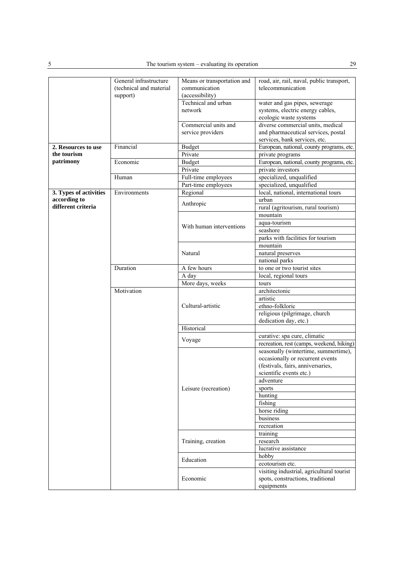|                          | General infrastructure<br>(technical and material<br>support) | Means or transportation and<br>communication<br>(accessibility) | road, air, rail, naval, public transport,<br>telecommunication                                            |
|--------------------------|---------------------------------------------------------------|-----------------------------------------------------------------|-----------------------------------------------------------------------------------------------------------|
|                          |                                                               | Technical and urban<br>network                                  | water and gas pipes, sewerage<br>systems, electric energy cables,<br>ecologic waste systems               |
|                          |                                                               | Commercial units and<br>service providers                       | diverse commercial units, medical<br>and pharmaceutical services, postal<br>services, bank services, etc. |
| 2. Resources to use      | Financial                                                     | <b>Budget</b>                                                   | European, national, county programs, etc.                                                                 |
| the tourism<br>patrimony |                                                               | Private                                                         | private programs                                                                                          |
|                          | Economic                                                      | <b>Budget</b>                                                   | European, national, county programs, etc.                                                                 |
|                          |                                                               | Private                                                         | private investors                                                                                         |
|                          |                                                               |                                                                 |                                                                                                           |
|                          | Human                                                         | Full-time employees                                             | specialized, unqualified                                                                                  |
|                          |                                                               | Part-time employees                                             | specialized, unqualified                                                                                  |
| 3. Types of activities   | Environments                                                  | Regional                                                        | local, national, international tours                                                                      |
| according to             |                                                               | Anthropic                                                       | urban                                                                                                     |
| different criteria       |                                                               |                                                                 | rural (agritourism, rural tourism)                                                                        |
|                          |                                                               |                                                                 | mountain                                                                                                  |
|                          |                                                               | With human interventions                                        | aqua-tourism                                                                                              |
|                          |                                                               |                                                                 | seashore                                                                                                  |
|                          |                                                               |                                                                 | parks with facilities for tourism                                                                         |
|                          |                                                               |                                                                 | mountain                                                                                                  |
|                          |                                                               | Natural                                                         | natural preserves                                                                                         |
|                          |                                                               |                                                                 | national parks                                                                                            |
|                          | Duration                                                      | A few hours                                                     | to one or two tourist sites                                                                               |
|                          |                                                               |                                                                 |                                                                                                           |
|                          |                                                               | A day                                                           | local, regional tours                                                                                     |
|                          |                                                               | More days, weeks                                                | tours                                                                                                     |
|                          | Motivation                                                    |                                                                 | architectonic                                                                                             |
|                          |                                                               |                                                                 | artistic                                                                                                  |
|                          |                                                               | Cultural-artistic                                               | ethno-folkloric                                                                                           |
|                          |                                                               |                                                                 | religious (pilgrimage, church                                                                             |
|                          |                                                               |                                                                 | dedication day, etc.)                                                                                     |
|                          |                                                               | Historical                                                      |                                                                                                           |
|                          |                                                               | Voyage                                                          | curative: spa cure, climatic                                                                              |
|                          |                                                               |                                                                 | recreation, rest (camps, weekend, hiking)                                                                 |
|                          |                                                               |                                                                 | seasonally (wintertime, summertime),                                                                      |
|                          |                                                               | Leisure (recreation)                                            | occasionally or recurrent events                                                                          |
|                          |                                                               |                                                                 | (festivals, fairs, anniversaries,                                                                         |
|                          |                                                               |                                                                 | scientific events etc.)                                                                                   |
|                          |                                                               |                                                                 | adventure                                                                                                 |
|                          |                                                               |                                                                 | sports                                                                                                    |
|                          |                                                               |                                                                 | hunting                                                                                                   |
|                          |                                                               |                                                                 | fishing                                                                                                   |
|                          |                                                               |                                                                 | horse riding                                                                                              |
|                          |                                                               |                                                                 | business                                                                                                  |
|                          |                                                               |                                                                 | recreation                                                                                                |
|                          |                                                               |                                                                 | training                                                                                                  |
|                          |                                                               | Training, creation                                              | research                                                                                                  |
|                          |                                                               |                                                                 | lucrative assistance                                                                                      |
|                          |                                                               |                                                                 | hobby                                                                                                     |
|                          |                                                               | Education                                                       | ecotourism etc.                                                                                           |
|                          |                                                               |                                                                 | visiting industrial, agricultural tourist                                                                 |
|                          |                                                               | Economic                                                        | spots, constructions, traditional                                                                         |
|                          |                                                               |                                                                 |                                                                                                           |
|                          |                                                               |                                                                 | equipments                                                                                                |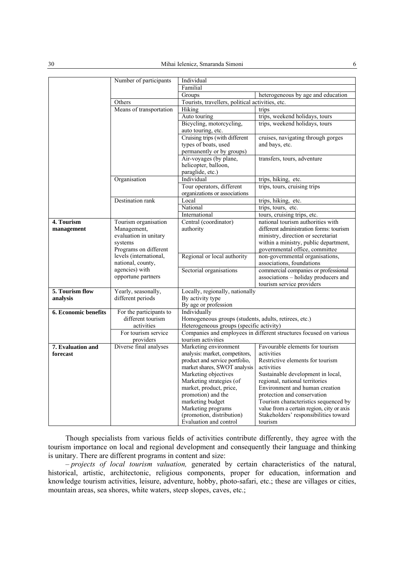|                      | Number of participants               | Individual                                                                               |                                                                               |  |
|----------------------|--------------------------------------|------------------------------------------------------------------------------------------|-------------------------------------------------------------------------------|--|
|                      |                                      | Familial                                                                                 |                                                                               |  |
|                      |                                      | Groups                                                                                   | heterogeneous by age and education                                            |  |
|                      | Others                               | Tourists, travellers, political activities, etc.                                         |                                                                               |  |
|                      | Means of transportation              | Hiking                                                                                   | trips                                                                         |  |
|                      |                                      | Auto touring                                                                             | trips, weekend holidays, tours                                                |  |
|                      |                                      | Bicycling, motorcycling,                                                                 | trips, weekend holidays, tours                                                |  |
|                      |                                      | auto touring, etc.                                                                       |                                                                               |  |
|                      |                                      | Cruising trips (with different                                                           | cruises, navigating through gorges                                            |  |
|                      |                                      | types of boats, used                                                                     | and bays, etc.                                                                |  |
|                      |                                      | permanently or by groups)                                                                |                                                                               |  |
|                      |                                      | Air-voyages (by plane,                                                                   | transfers, tours, adventure                                                   |  |
|                      |                                      | helicopter, balloon,                                                                     |                                                                               |  |
|                      |                                      | paraglide, etc.)                                                                         |                                                                               |  |
|                      | Organisation                         | Individual                                                                               | trips, hiking, etc.                                                           |  |
|                      |                                      | Tour operators, different                                                                | trips, tours, cruising trips                                                  |  |
|                      |                                      | organizations or associations                                                            |                                                                               |  |
|                      | Destination rank                     | Local                                                                                    | trips, hiking, etc.                                                           |  |
|                      |                                      | National                                                                                 | trips, tours, etc.                                                            |  |
|                      |                                      | International                                                                            | tours, cruising trips, etc.                                                   |  |
| 4. Tourism           | Tourism organisation                 | Central (coordinator)                                                                    | national tourism authorities with                                             |  |
| management           | Management,<br>evaluation in unitary | authority                                                                                | different administration forms: tourism<br>ministry, direction or secretariat |  |
|                      | systems                              |                                                                                          | within a ministry, public department,                                         |  |
|                      | Programs on different                |                                                                                          | governmental office, committee                                                |  |
|                      | levels (international,               | Regional or local authority                                                              | non-governmental organisations,                                               |  |
|                      | national, county,                    |                                                                                          | associations, foundations                                                     |  |
|                      | agencies) with                       | Sectorial organisations                                                                  | commercial companies or professional                                          |  |
|                      | opportune partners                   |                                                                                          | associations - holiday producers and                                          |  |
|                      |                                      |                                                                                          | tourism service providers                                                     |  |
| 5. Tourism flow      | Yearly, seasonally,                  | Locally, regionally, nationally                                                          |                                                                               |  |
| analysis             | different periods                    | By activity type                                                                         |                                                                               |  |
|                      |                                      | By age or profession                                                                     |                                                                               |  |
| 6. Economic benefits | For the participants to              | Individually                                                                             |                                                                               |  |
|                      | different tourism                    | Homogeneous groups (students, adults, retirees, etc.)                                    |                                                                               |  |
|                      | activities                           | Heterogeneous groups (specific activity)                                                 |                                                                               |  |
|                      | For tourism service<br>providers     | Companies and employees in different structures focused on various<br>tourism activities |                                                                               |  |
| 7. Evaluation and    | Diverse final analyses               | Marketing environment                                                                    | Favourable elements for tourism                                               |  |
| forecast             |                                      | analysis: market, competitors,                                                           | activities                                                                    |  |
|                      |                                      | product and service portfolio,                                                           | Restrictive elements for tourism                                              |  |
|                      |                                      | market shares, SWOT analysis                                                             | activities                                                                    |  |
|                      |                                      | Marketing objectives                                                                     | Sustainable development in local,                                             |  |
|                      |                                      | Marketing strategies (of                                                                 | regional, national territories                                                |  |
|                      |                                      | market, product, price,                                                                  | Environment and human creation                                                |  |
|                      |                                      | promotion) and the                                                                       | protection and conservation                                                   |  |
|                      |                                      | marketing budget                                                                         | Tourism characteristics sequenced by                                          |  |
|                      |                                      | Marketing programs                                                                       | value from a certain region, city or axis                                     |  |
|                      |                                      | (promotion, distribution)                                                                | Stakeholders' responsibilities toward                                         |  |
|                      |                                      | Evaluation and control                                                                   | tourism                                                                       |  |

Though specialists from various fields of activities contribute differently, they agree with the tourism importance on local and regional development and consequently their language and thinking is unitary. There are different programs in content and size:

– *projects of local tourism valuation,* generated by certain characteristics of the natural, historical, artistic, architectonic, religious components, proper for education, information and knowledge tourism activities, leisure, adventure, hobby, photo-safari, etc.; these are villages or cities, mountain areas, sea shores, white waters, steep slopes, caves, etc.;